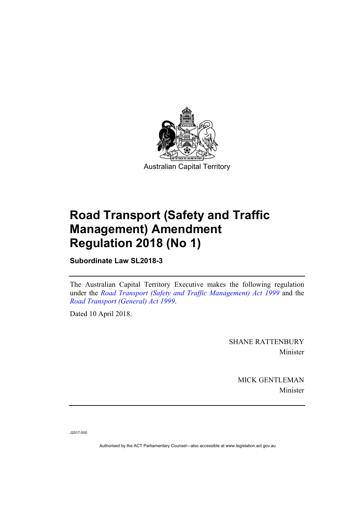

# **Road Transport (Safety and Traffic Management) Amendment Regulation 2018 (No 1)**

**Subordinate Law SL2018-3** 

The Australian Capital Territory Executive makes the following regulation under the *[Road Transport \(Safety and Traffic Management\) Act 1999](http://www.legislation.act.gov.au/a/1999-80)* and the *[Road Transport \(General\) Act 1999](http://www.legislation.act.gov.au/a/1999-77)*.

Dated 10 April 2018.

SHANE RATTENBURY Minister

> MICK GENTLEMAN Minister

J2017-500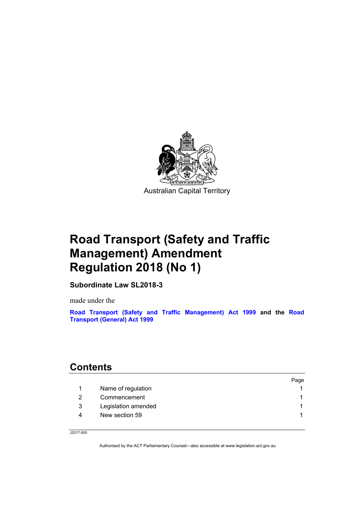

# **Road Transport (Safety and Traffic Management) Amendment Regulation 2018 (No 1)**

**Subordinate Law SL2018-3** 

made under the

**[Road Transport \(Safety and Traffic Management\) Act 1999](http://www.legislation.act.gov.au/a/1999-80) and the [Road](http://www.legislation.act.gov.au/a/1999-77/)  [Transport \(General\) Act 1999](http://www.legislation.act.gov.au/a/1999-77/)**

## **Contents**

|   |                     | Page |
|---|---------------------|------|
|   | Name of regulation  |      |
|   | Commencement        |      |
| 3 | Legislation amended |      |
| Δ | New section 59      |      |
|   |                     |      |

J2017-500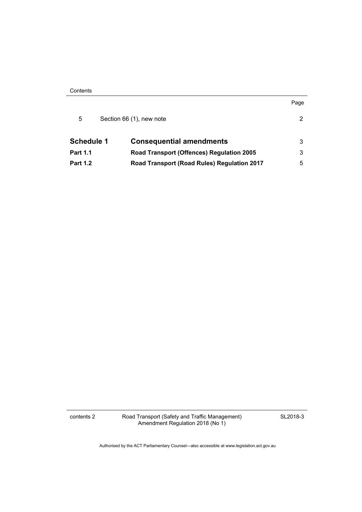**Contents** 

|                   |                                             | Page |
|-------------------|---------------------------------------------|------|
| 5                 | Section 66 (1), new note                    | 2    |
| <b>Schedule 1</b> | <b>Consequential amendments</b>             | 3    |
| <b>Part 1.1</b>   | Road Transport (Offences) Regulation 2005   | 3    |
| <b>Part 1.2</b>   | Road Transport (Road Rules) Regulation 2017 | 5    |

contents 2 Road Transport (Safety and Traffic Management) Amendment Regulation 2018 (No 1)

SL2018-3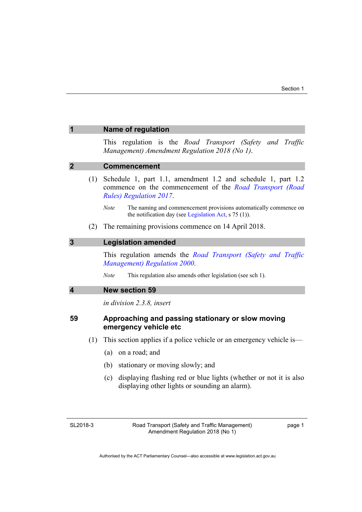<span id="page-4-2"></span><span id="page-4-1"></span><span id="page-4-0"></span>

|                         |     | <b>Name of regulation</b>                                                                                                                                  |  |  |  |
|-------------------------|-----|------------------------------------------------------------------------------------------------------------------------------------------------------------|--|--|--|
|                         |     | This regulation is the Road Transport (Safety and Traffic<br>Management) Amendment Regulation 2018 (No 1).                                                 |  |  |  |
| $\overline{2}$          |     | <b>Commencement</b>                                                                                                                                        |  |  |  |
|                         | (1) | Schedule 1, part 1.1, amendment 1.2 and schedule 1, part 1.2<br>commence on the commencement of the Road Transport (Road<br><b>Rules)</b> Regulation 2017. |  |  |  |
|                         |     | The naming and commencement provisions automatically commence on<br><b>Note</b><br>the notification day (see Legislation Act, $s$ 75 (1)).                 |  |  |  |
|                         | (2) | The remaining provisions commence on 14 April 2018.                                                                                                        |  |  |  |
| $\mathbf{3}$            |     | <b>Legislation amended</b>                                                                                                                                 |  |  |  |
|                         |     | This regulation amends the Road Transport (Safety and Traffic<br>Management) Regulation 2000.                                                              |  |  |  |
|                         |     | <b>Note</b><br>This regulation also amends other legislation (see sch 1).                                                                                  |  |  |  |
| $\overline{\mathbf{4}}$ |     | <b>New section 59</b>                                                                                                                                      |  |  |  |
|                         |     | <i>in division 2.3.8, insert</i>                                                                                                                           |  |  |  |
| 59                      |     | Approaching and passing stationary or slow moving<br>emergency vehicle etc                                                                                 |  |  |  |
|                         | (1) | This section applies if a police vehicle or an emergency vehicle is—                                                                                       |  |  |  |
|                         |     | (a)<br>on a road; and                                                                                                                                      |  |  |  |
|                         |     | (b)<br>stationary or moving slowly; and                                                                                                                    |  |  |  |
|                         |     | displaying flashing red or blue lights (whether or not it is also<br>(c)                                                                                   |  |  |  |

<span id="page-4-3"></span>displaying other lights or sounding an alarm).

page 1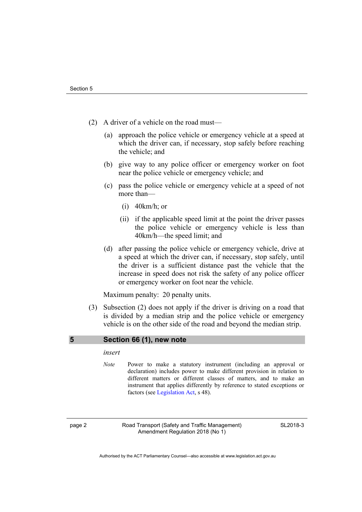- (2) A driver of a vehicle on the road must—
	- (a) approach the police vehicle or emergency vehicle at a speed at which the driver can, if necessary, stop safely before reaching the vehicle; and
	- (b) give way to any police officer or emergency worker on foot near the police vehicle or emergency vehicle; and
	- (c) pass the police vehicle or emergency vehicle at a speed of not more than—
		- (i) 40km/h; or
		- (ii) if the applicable speed limit at the point the driver passes the police vehicle or emergency vehicle is less than 40km/h—the speed limit; and
	- (d) after passing the police vehicle or emergency vehicle, drive at a speed at which the driver can, if necessary, stop safely, until the driver is a sufficient distance past the vehicle that the increase in speed does not risk the safety of any police officer or emergency worker on foot near the vehicle.

Maximum penalty: 20 penalty units.

 (3) Subsection (2) does not apply if the driver is driving on a road that is divided by a median strip and the police vehicle or emergency vehicle is on the other side of the road and beyond the median strip.

#### <span id="page-5-0"></span>**5 Section 66 (1), new note**

#### *insert*

*Note* Power to make a statutory instrument (including an approval or declaration) includes power to make different provision in relation to different matters or different classes of matters, and to make an instrument that applies differently by reference to stated exceptions or factors (see [Legislation Act](http://www.legislation.act.gov.au/a/2001-14), s 48).

page 2 Road Transport (Safety and Traffic Management) Amendment Regulation 2018 (No 1)

SL2018-3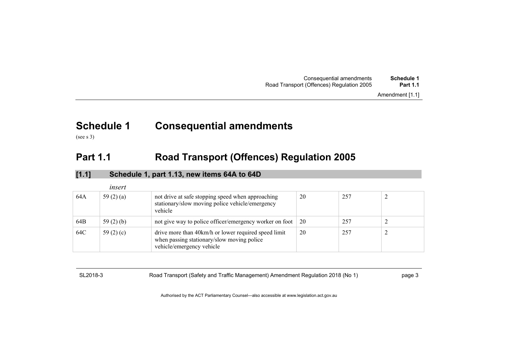| Consequential amendments                  | Schedule 1      |
|-------------------------------------------|-----------------|
| Road Transport (Offences) Regulation 2005 | <b>Part 1.1</b> |
|                                           |                 |

# **Schedule 1 Consequential amendments**

(see s 3)

## **Part 1.1 Road Transport (Offences) Regulation 2005**

| [1.1] |                | Schedule 1, part 1.13, new items 64A to 64D                                                                                     |    |     |  |
|-------|----------------|---------------------------------------------------------------------------------------------------------------------------------|----|-----|--|
|       | insert         |                                                                                                                                 |    |     |  |
| 64A   | 59 $(2)$ $(a)$ | not drive at safe stopping speed when approaching<br>stationary/slow moving police vehicle/emergency<br>vehicle                 | 20 | 257 |  |
| 64B   | 59 $(2)$ $(b)$ | not give way to police officer/emergency worker on foot                                                                         | 20 | 257 |  |
| 64C   | 59 $(2)$ $(c)$ | drive more than 40km/h or lower required speed limit<br>when passing stationary/slow moving police<br>vehicle/emergency vehicle | 20 | 257 |  |

<span id="page-6-1"></span><span id="page-6-0"></span>SL2018-3 Road Transport (Safety and Traffic Management) Amendment Regulation 2018 (No 1) page 3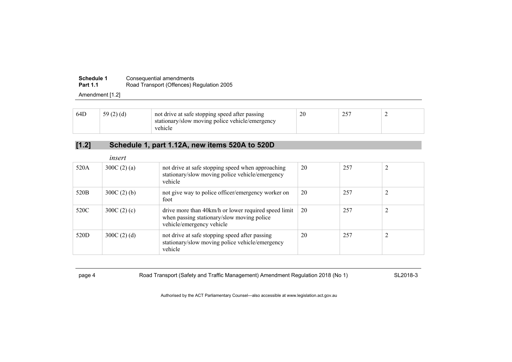#### **Schedule 1** Consequential amendments **Part 1.1**Road Transport (Offences) Regulation 2005

Amendment [1.2]

| 64D | 59(2)(d) | not drive at safe stopping speed after passing<br>stationary/slow moving police vehicle/emergency<br>vehicle | 20 | $\cap$ $\subset$<br>ں کے |  |
|-----|----------|--------------------------------------------------------------------------------------------------------------|----|--------------------------|--|
|     |          |                                                                                                              |    |                          |  |

## **[1.2] Schedule 1, part 1.12A, new items 520A to 520D**

|      | insert        |                                                                                                                                 |    |     |  |
|------|---------------|---------------------------------------------------------------------------------------------------------------------------------|----|-----|--|
| 520A | 300C $(2)(a)$ | not drive at safe stopping speed when approaching<br>stationary/slow moving police vehicle/emergency<br>vehicle                 | 20 | 257 |  |
| 520B | $300C(2)$ (b) | not give way to police officer/emergency worker on<br>foot                                                                      | 20 | 257 |  |
| 520C | 300C $(2)(c)$ | drive more than 40km/h or lower required speed limit<br>when passing stationary/slow moving police<br>vehicle/emergency vehicle | 20 | 257 |  |
| 520D | $300C(2)$ (d) | not drive at safe stopping speed after passing<br>stationary/slow moving police vehicle/emergency<br>vehicle                    | 20 | 257 |  |

page 4 Road Transport (Safety and Traffic Management) Amendment Regulation 2018 (No 1) SL2018-3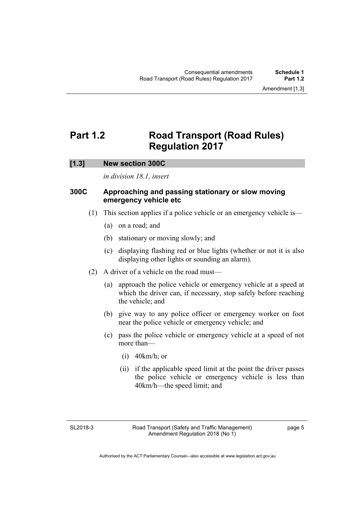## <span id="page-8-0"></span>**Part 1.2 Road Transport (Road Rules) Regulation 2017**

## **[1.3] New section 300C**

*in division 18.1, insert* 

## **300C Approaching and passing stationary or slow moving emergency vehicle etc**

- (1) This section applies if a police vehicle or an emergency vehicle is—
	- (a) on a road; and
	- (b) stationary or moving slowly; and
	- (c) displaying flashing red or blue lights (whether or not it is also displaying other lights or sounding an alarm).
- (2) A driver of a vehicle on the road must—
	- (a) approach the police vehicle or emergency vehicle at a speed at which the driver can, if necessary, stop safely before reaching the vehicle; and
	- (b) give way to any police officer or emergency worker on foot near the police vehicle or emergency vehicle; and
	- (c) pass the police vehicle or emergency vehicle at a speed of not more than—
		- (i) 40km/h; or
		- (ii) if the applicable speed limit at the point the driver passes the police vehicle or emergency vehicle is less than 40km/h—the speed limit; and

SL2018-3

page 5